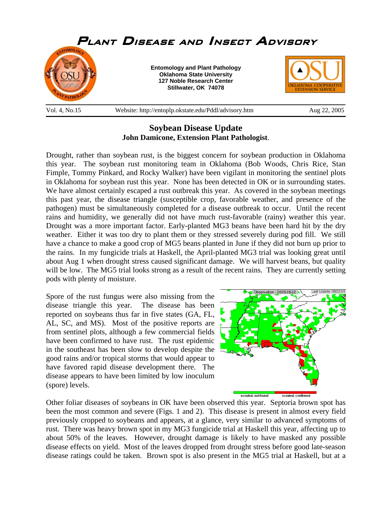

## **Soybean Disease Update John Damicone, Extension Plant Pathologist**.

Drought, rather than soybean rust, is the biggest concern for soybean production in Oklahoma this year. The soybean rust monitoring team in Oklahoma (Bob Woods, Chris Rice, Stan Fimple, Tommy Pinkard, and Rocky Walker) have been vigilant in monitoring the sentinel plots in Oklahoma for soybean rust this year. None has been detected in OK or in surrounding states. We have almost certainly escaped a rust outbreak this year. As covered in the soybean meetings this past year, the disease triangle (susceptible crop, favorable weather, and presence of the pathogen) must be simultaneously completed for a disease outbreak to occur. Until the recent rains and humidity, we generally did not have much rust-favorable (rainy) weather this year. Drought was a more important factor. Early-planted MG3 beans have been hard hit by the dry weather. Either it was too dry to plant them or they stressed severely during pod fill. We still have a chance to make a good crop of MG5 beans planted in June if they did not burn up prior to the rains. In my fungicide trials at Haskell, the April-planted MG3 trial was looking great until about Aug 1 when drought stress caused significant damage. We will harvest beans, but quality will be low. The MG5 trial looks strong as a result of the recent rains. They are currently setting pods with plenty of moisture.

Spore of the rust fungus were also missing from the disease triangle this year. The disease has been reported on soybeans thus far in five states (GA, FL, AL, SC, and MS). Most of the positive reports are from sentinel plots, although a few commercial fields have been confirmed to have rust. The rust epidemic in the southeast has been slow to develop despite the good rains and/or tropical storms that would appear to have favored rapid disease development there. The disease appears to have been limited by low inoculum (spore) levels.



Other foliar diseases of soybeans in OK have been observed this year. Septoria brown spot has been the most common and severe (Figs. 1 and 2). This disease is present in almost every field previously cropped to soybeans and appears, at a glance, very similar to advanced symptoms of rust. There was heavy brown spot in my MG3 fungicide trial at Haskell this year, affecting up to about 50% of the leaves. However, drought damage is likely to have masked any possible disease effects on yield. Most of the leaves dropped from drought stress before good late-season disease ratings could be taken. Brown spot is also present in the MG5 trial at Haskell, but at a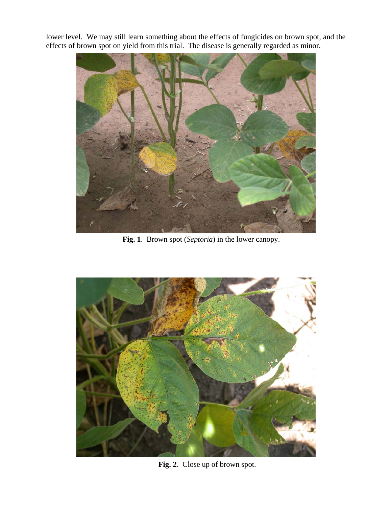lower level. We may still learn something about the effects of fungicides on brown spot, and the effects of brown spot on yield from this trial. The disease is generally regarded as minor.



**Fig. 1**. Brown spot (*Septoria*) in the lower canopy.



**Fig. 2**. Close up of brown spot.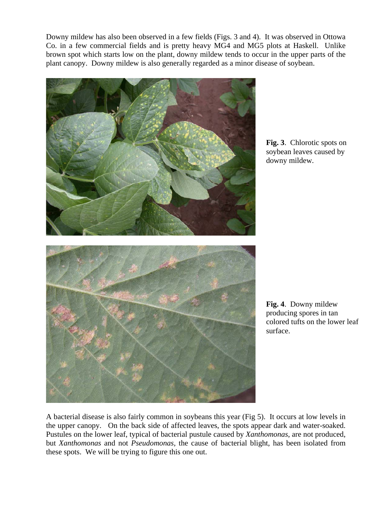Downy mildew has also been observed in a few fields (Figs. 3 and 4). It was observed in Ottowa Co. in a few commercial fields and is pretty heavy MG4 and MG5 plots at Haskell. Unlike brown spot which starts low on the plant, downy mildew tends to occur in the upper parts of the plant canopy. Downy mildew is also generally regarded as a minor disease of soybean.



**Fig. 3**. Chlorotic spots on soybean leaves caused by downy mildew.

**Fig. 4**. Downy mildew producing spores in tan colored tufts on the lower leaf surface.

A bacterial disease is also fairly common in soybeans this year (Fig 5). It occurs at low levels in the upper canopy. On the back side of affected leaves, the spots appear dark and water-soaked. Pustules on the lower leaf, typical of bacterial pustule caused by *Xanthomonas*, are not produced, but *Xanthomonas* and not *Pseudomonas,* the cause of bacterial blight, has been isolated from these spots. We will be trying to figure this one out.